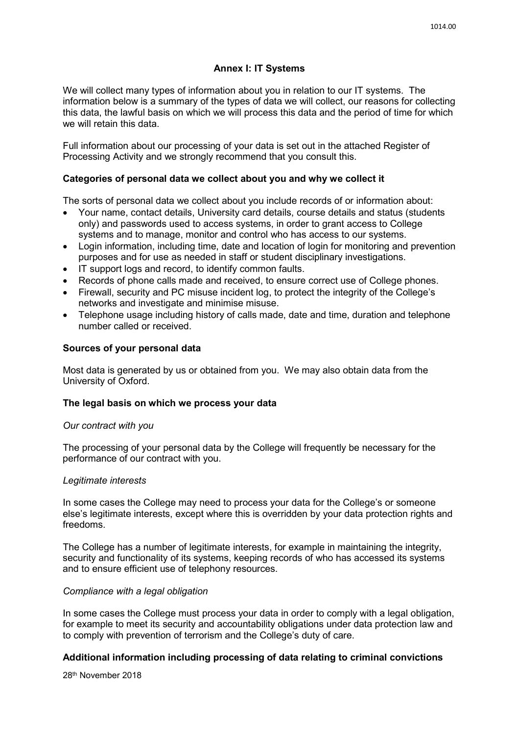# **Annex I: IT Systems**

We will collect many types of information about you in relation to our IT systems. The information below is a summary of the types of data we will collect, our reasons for collecting this data, the lawful basis on which we will process this data and the period of time for which we will retain this data

Full information about our processing of your data is set out in the attached Register of Processing Activity and we strongly recommend that you consult this.

## **Categories of personal data we collect about you and why we collect it**

The sorts of personal data we collect about you include records of or information about:

- Your name, contact details, University card details, course details and status (students only) and passwords used to access systems, in order to grant access to College systems and to manage, monitor and control who has access to our systems.
- Login information, including time, date and location of login for monitoring and prevention purposes and for use as needed in staff or student disciplinary investigations.
- IT support logs and record, to identify common faults.
- Records of phone calls made and received, to ensure correct use of College phones.
- Firewall, security and PC misuse incident log, to protect the integrity of the College's networks and investigate and minimise misuse.
- Telephone usage including history of calls made, date and time, duration and telephone number called or received.

### **Sources of your personal data**

Most data is generated by us or obtained from you. We may also obtain data from the University of Oxford.

#### **The legal basis on which we process your data**

#### *Our contract with you*

The processing of your personal data by the College will frequently be necessary for the performance of our contract with you.

#### *Legitimate interests*

In some cases the College may need to process your data for the College's or someone else's legitimate interests, except where this is overridden by your data protection rights and freedoms.

The College has a number of legitimate interests, for example in maintaining the integrity, security and functionality of its systems, keeping records of who has accessed its systems and to ensure efficient use of telephony resources.

#### *Compliance with a legal obligation*

In some cases the College must process your data in order to comply with a legal obligation, for example to meet its security and accountability obligations under data protection law and to comply with prevention of terrorism and the College's duty of care.

## **Additional information including processing of data relating to criminal convictions**

28th November 2018